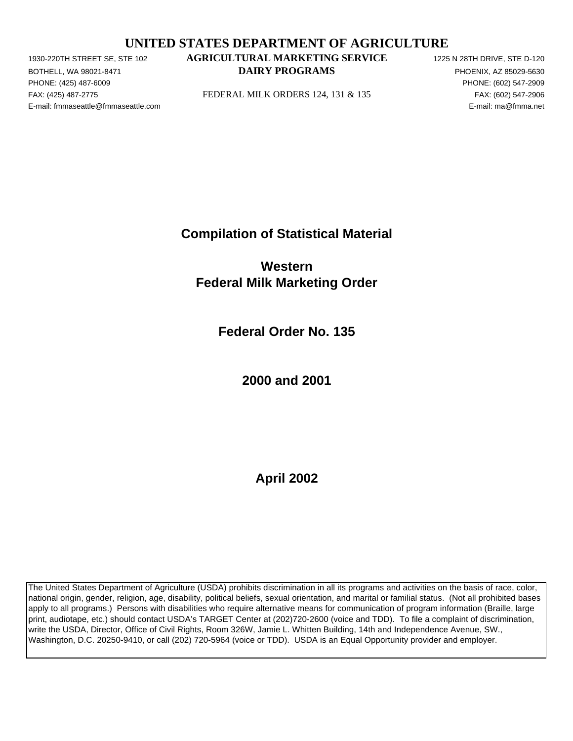# **UNITED STATES DEPARTMENT OF AGRICULTURE**

PHONE: (425) 487-6009 PHONE: (602) 547-2909 E-mail: fmmaseattle@fmmaseattle.com E-mail: ma@fmma.net

# 1930-220TH STREET SE, STE 102 **AGRICULTURAL MARKETING SERVICE** 1225 N 28TH DRIVE, STE D-120 BOTHELL, WA 98021-8471 **EXECUTE A SECOND METALLY PROGRAMS PHOENIX, AZ 85029-5630**

FAX: (425) 487-2775 FEDERAL MILK ORDERS 124, 131 & 135 FAX: (602) 547-2906

**Compilation of Statistical Material**

**Western Federal Milk Marketing Order**

**Federal Order No. 135**

**2000 and 2001**

**April 2002**

The United States Department of Agriculture (USDA) prohibits discrimination in all its programs and activities on the basis of race, color, national origin, gender, religion, age, disability, political beliefs, sexual orientation, and marital or familial status. (Not all prohibited bases apply to all programs.) Persons with disabilities who require alternative means for communication of program information (Braille, large print, audiotape, etc.) should contact USDA's TARGET Center at (202)720-2600 (voice and TDD). To file a complaint of discrimination, write the USDA, Director, Office of Civil Rights, Room 326W, Jamie L. Whitten Building, 14th and Independence Avenue, SW., Washington, D.C. 20250-9410, or call (202) 720-5964 (voice or TDD). USDA is an Equal Opportunity provider and employer.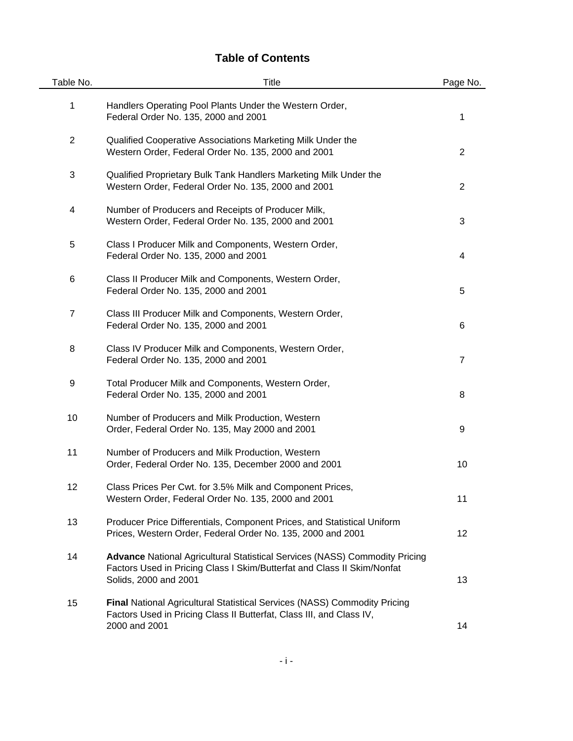# **Table of Contents**

| Table No.      | Title                                                                                                                                                                                  | Page No.       |
|----------------|----------------------------------------------------------------------------------------------------------------------------------------------------------------------------------------|----------------|
| 1              | Handlers Operating Pool Plants Under the Western Order,<br>Federal Order No. 135, 2000 and 2001                                                                                        | 1              |
| $\overline{c}$ | Qualified Cooperative Associations Marketing Milk Under the<br>Western Order, Federal Order No. 135, 2000 and 2001                                                                     | $\overline{2}$ |
| 3              | Qualified Proprietary Bulk Tank Handlers Marketing Milk Under the<br>Western Order, Federal Order No. 135, 2000 and 2001                                                               | $\overline{2}$ |
| 4              | Number of Producers and Receipts of Producer Milk,<br>Western Order, Federal Order No. 135, 2000 and 2001                                                                              | 3              |
| 5              | Class I Producer Milk and Components, Western Order,<br>Federal Order No. 135, 2000 and 2001                                                                                           | 4              |
| 6              | Class II Producer Milk and Components, Western Order,<br>Federal Order No. 135, 2000 and 2001                                                                                          | 5              |
| $\overline{7}$ | Class III Producer Milk and Components, Western Order,<br>Federal Order No. 135, 2000 and 2001                                                                                         | 6              |
| 8              | Class IV Producer Milk and Components, Western Order,<br>Federal Order No. 135, 2000 and 2001                                                                                          | $\overline{7}$ |
| 9              | Total Producer Milk and Components, Western Order,<br>Federal Order No. 135, 2000 and 2001                                                                                             | 8              |
| 10             | Number of Producers and Milk Production, Western<br>Order, Federal Order No. 135, May 2000 and 2001                                                                                    | 9              |
| 11             | Number of Producers and Milk Production, Western<br>Order, Federal Order No. 135, December 2000 and 2001                                                                               | 10             |
| 12             | Class Prices Per Cwt. for 3.5% Milk and Component Prices,<br>Western Order, Federal Order No. 135, 2000 and 2001                                                                       | 11             |
| 13             | Producer Price Differentials, Component Prices, and Statistical Uniform<br>Prices, Western Order, Federal Order No. 135, 2000 and 2001                                                 | 12             |
| 14             | <b>Advance National Agricultural Statistical Services (NASS) Commodity Pricing</b><br>Factors Used in Pricing Class I Skim/Butterfat and Class II Skim/Nonfat<br>Solids, 2000 and 2001 | 13             |
| 15             | <b>Final National Agricultural Statistical Services (NASS) Commodity Pricing</b><br>Factors Used in Pricing Class II Butterfat, Class III, and Class IV,<br>2000 and 2001              | 14             |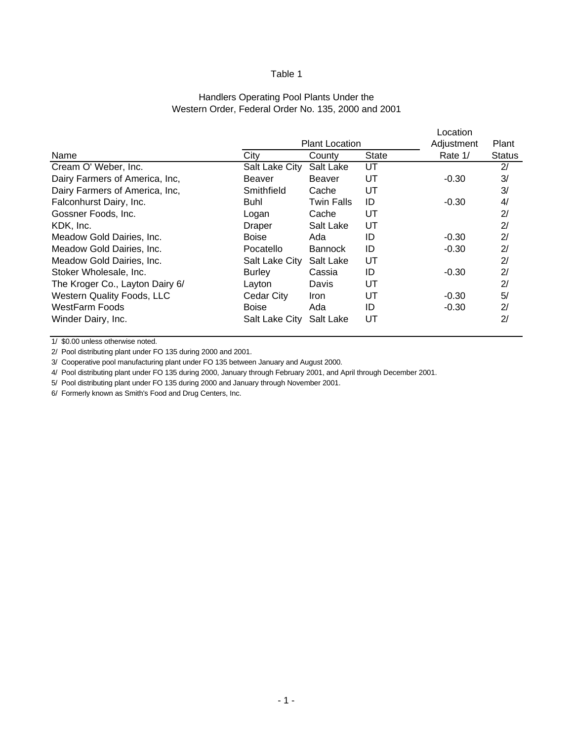#### Western Order, Federal Order No. 135, 2000 and 2001 Handlers Operating Pool Plants Under the

|                                 |                |                       |       | Location   |        |
|---------------------------------|----------------|-----------------------|-------|------------|--------|
|                                 |                | <b>Plant Location</b> |       | Adjustment | Plant  |
| City<br>Name                    |                | County                | State | Rate 1/    | Status |
| Cream O' Weber, Inc.            | Salt Lake City | Salt Lake             | UT    |            | 2/     |
| Dairy Farmers of America, Inc.  | Beaver         | Beaver                | UT    | $-0.30$    | 3/     |
| Dairy Farmers of America, Inc,  | Smithfield     | Cache                 | UT    |            | 3/     |
| Falconhurst Dairy, Inc.<br>Buhl |                | Twin Falls            | ID    | $-0.30$    | 4/     |
| Gossner Foods, Inc.             | Logan          | Cache                 | UT    |            | 2/     |
| KDK, Inc.                       | Draper         | Salt Lake             | UT    |            | 2/     |
| Meadow Gold Dairies, Inc.       | Boise          | Ada                   | ID    | $-0.30$    | 2/     |
| Meadow Gold Dairies, Inc.       | Pocatello      | <b>Bannock</b>        | ID    | $-0.30$    | 2/     |
| Meadow Gold Dairies, Inc.       | Salt Lake City | Salt Lake             | UT    |            | 2/     |
| Stoker Wholesale, Inc.          | <b>Burley</b>  | Cassia                | ID    | $-0.30$    | 2/     |
| The Kroger Co., Layton Dairy 6/ | Layton         | Davis                 | UT    |            | 2/     |
| Western Quality Foods, LLC      | Cedar City     | Iron.                 | UT    | $-0.30$    | 5/     |
| WestFarm Foods                  | <b>Boise</b>   | Ada                   | ID    | $-0.30$    | 2/     |
| Winder Dairy, Inc.              | Salt Lake City | Salt Lake             | UT    |            | 2/     |

1/ \$0.00 unless otherwise noted.

2/ Pool distributing plant under FO 135 during 2000 and 2001.

3/ Cooperative pool manufacturing plant under FO 135 between January and August 2000.

4/ Pool distributing plant under FO 135 during 2000, January through February 2001, and April through December 2001.

5/ Pool distributing plant under FO 135 during 2000 and January through November 2001.

6/ Formerly known as Smith's Food and Drug Centers, Inc.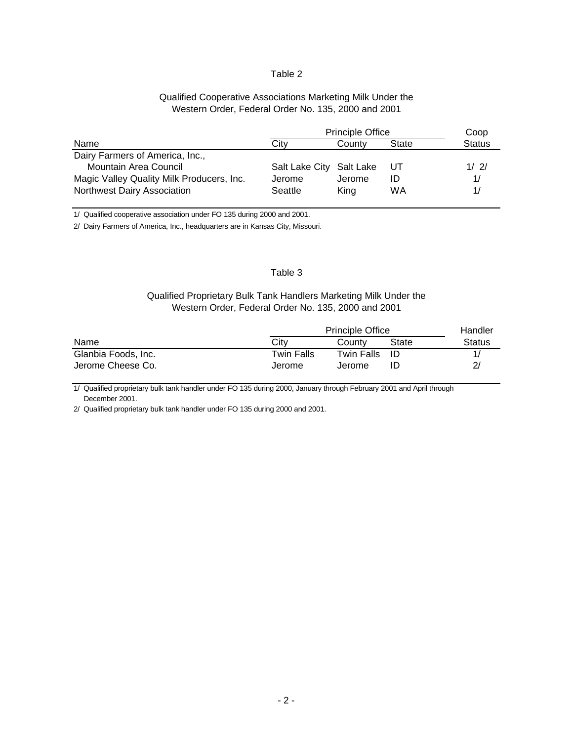#### Qualified Cooperative Associations Marketing Milk Under the Western Order, Federal Order No. 135, 2000 and 2001

|                                           | <b>Principle Office</b>  |        | Coop  |               |
|-------------------------------------------|--------------------------|--------|-------|---------------|
| Name                                      | Citv                     | County | State | <b>Status</b> |
| Dairy Farmers of America, Inc.,           |                          |        |       |               |
| Mountain Area Council                     | Salt Lake City Salt Lake |        | -UT   | 1/2/          |
| Magic Valley Quality Milk Producers, Inc. | Jerome                   | Jerome | ID    |               |
| Northwest Dairy Association               | Seattle                  | King   | WA    |               |

1/ Qualified cooperative association under FO 135 during 2000 and 2001.

2/ Dairy Farmers of America, Inc., headquarters are in Kansas City, Missouri.

#### Table 3

## Qualified Proprietary Bulk Tank Handlers Marketing Milk Under the Western Order, Federal Order No. 135, 2000 and 2001

|                     | <b>Principle Office</b> |            |       |        |  |  |  |
|---------------------|-------------------------|------------|-------|--------|--|--|--|
| Name                | City                    | Countv     | State | Status |  |  |  |
| Glanbia Foods, Inc. | Twin Falls              | Twin Falls | -ID   |        |  |  |  |
| Jerome Cheese Co.   | Jerome                  | Jerome     |       |        |  |  |  |

1/ Qualified proprietary bulk tank handler under FO 135 during 2000, January through February 2001 and April through December 2001.

2/ Qualified proprietary bulk tank handler under FO 135 during 2000 and 2001.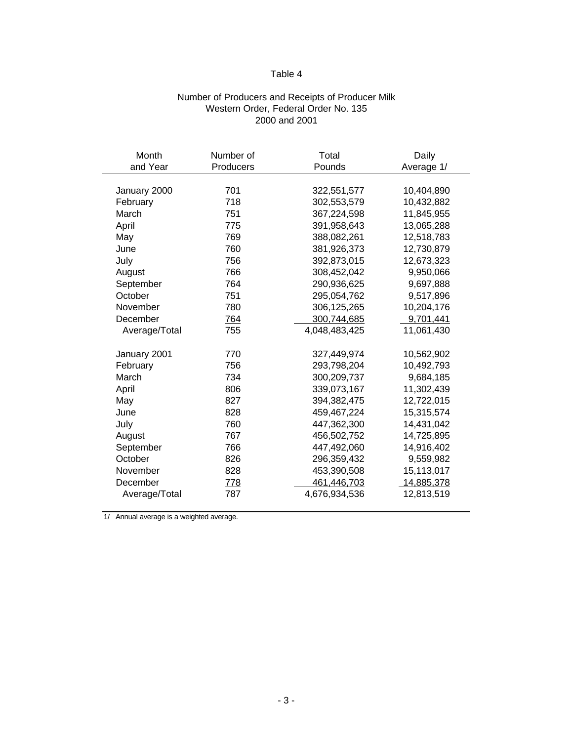## Number of Producers and Receipts of Producer Milk Western Order, Federal Order No. 135 2000 and 2001

| Month         | Number of | Total         | Daily      |
|---------------|-----------|---------------|------------|
| and Year      | Producers | Pounds        | Average 1/ |
|               |           |               |            |
| January 2000  | 701       | 322,551,577   | 10,404,890 |
| February      | 718       | 302,553,579   | 10,432,882 |
| March         | 751       | 367,224,598   | 11,845,955 |
| April         | 775       | 391,958,643   | 13,065,288 |
| May           | 769       | 388,082,261   | 12,518,783 |
| June          | 760       | 381,926,373   | 12,730,879 |
| July          | 756       | 392,873,015   | 12,673,323 |
| August        | 766       | 308,452,042   | 9,950,066  |
| September     | 764       | 290,936,625   | 9,697,888  |
| October       | 751       | 295,054,762   | 9,517,896  |
| November      | 780       | 306,125,265   | 10,204,176 |
| December      | 764       | 300,744,685   | 9,701,441  |
| Average/Total | 755       | 4,048,483,425 | 11,061,430 |
|               |           |               |            |
| January 2001  | 770       | 327,449,974   | 10,562,902 |
| February      | 756       | 293,798,204   | 10,492,793 |
| March         | 734       | 300,209,737   | 9,684,185  |
| April         | 806       | 339,073,167   | 11,302,439 |
| May           | 827       | 394,382,475   | 12,722,015 |
| June          | 828       | 459,467,224   | 15,315,574 |
| July          | 760       | 447,362,300   | 14,431,042 |
| August        | 767       | 456,502,752   | 14,725,895 |
| September     | 766       | 447,492,060   | 14,916,402 |
| October       | 826       | 296,359,432   | 9,559,982  |
| November      | 828       | 453,390,508   | 15,113,017 |
| December      | 778       | 461,446,703   | 14,885,378 |
| Average/Total | 787       | 4,676,934,536 | 12,813,519 |
|               |           |               |            |

1/ Annual average is a weighted average.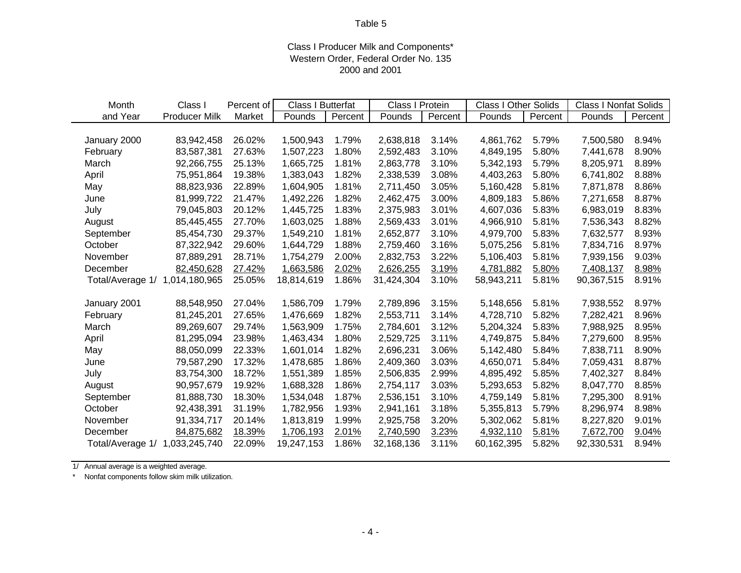## Class I Producer Milk and Components\* Western Order, Federal Order No. 135 2000 and 2001

| Month            | Class I              | Percent of | Class I Butterfat |         | Class I Protein |         | <b>Class I Other Solids</b> |         | <b>Class I Nonfat Solids</b> |         |
|------------------|----------------------|------------|-------------------|---------|-----------------|---------|-----------------------------|---------|------------------------------|---------|
| and Year         | <b>Producer Milk</b> | Market     | Pounds            | Percent | Pounds          | Percent | Pounds                      | Percent | Pounds                       | Percent |
|                  |                      |            |                   |         |                 |         |                             |         |                              |         |
| January 2000     | 83,942,458           | 26.02%     | 1,500,943         | 1.79%   | 2,638,818       | 3.14%   | 4,861,762                   | 5.79%   | 7,500,580                    | 8.94%   |
| February         | 83,587,381           | 27.63%     | 1,507,223         | 1.80%   | 2,592,483       | 3.10%   | 4,849,195                   | 5.80%   | 7,441,678                    | 8.90%   |
| March            | 92,266,755           | 25.13%     | 1,665,725         | 1.81%   | 2,863,778       | 3.10%   | 5,342,193                   | 5.79%   | 8,205,971                    | 8.89%   |
| April            | 75,951,864           | 19.38%     | 1,383,043         | 1.82%   | 2,338,539       | 3.08%   | 4,403,263                   | 5.80%   | 6,741,802                    | 8.88%   |
| May              | 88,823,936           | 22.89%     | 1,604,905         | 1.81%   | 2,711,450       | 3.05%   | 5,160,428                   | 5.81%   | 7,871,878                    | 8.86%   |
| June             | 81,999,722           | 21.47%     | 1,492,226         | 1.82%   | 2,462,475       | 3.00%   | 4,809,183                   | 5.86%   | 7,271,658                    | 8.87%   |
| July             | 79,045,803           | 20.12%     | 1,445,725         | 1.83%   | 2,375,983       | 3.01%   | 4,607,036                   | 5.83%   | 6,983,019                    | 8.83%   |
| August           | 85,445,455           | 27.70%     | 1,603,025         | 1.88%   | 2,569,433       | 3.01%   | 4,966,910                   | 5.81%   | 7,536,343                    | 8.82%   |
| September        | 85,454,730           | 29.37%     | 1,549,210         | 1.81%   | 2,652,877       | 3.10%   | 4,979,700                   | 5.83%   | 7,632,577                    | 8.93%   |
| October          | 87,322,942           | 29.60%     | 1,644,729         | 1.88%   | 2,759,460       | 3.16%   | 5,075,256                   | 5.81%   | 7,834,716                    | 8.97%   |
| November         | 87,889,291           | 28.71%     | 1,754,279         | 2.00%   | 2,832,753       | 3.22%   | 5,106,403                   | 5.81%   | 7,939,156                    | 9.03%   |
| December         | 82,450,628           | 27.42%     | 1,663,586         | 2.02%   | 2,626,255       | 3.19%   | 4,781,882                   | 5.80%   | 7,408,137                    | 8.98%   |
| Total/Average 1/ | 1,014,180,965        | 25.05%     | 18,814,619        | 1.86%   | 31,424,304      | 3.10%   | 58,943,211                  | 5.81%   | 90,367,515                   | 8.91%   |
|                  |                      |            |                   |         |                 |         |                             |         |                              |         |
| January 2001     | 88,548,950           | 27.04%     | 1,586,709         | 1.79%   | 2,789,896       | 3.15%   | 5,148,656                   | 5.81%   | 7,938,552                    | 8.97%   |
| February         | 81,245,201           | 27.65%     | 1,476,669         | 1.82%   | 2,553,711       | 3.14%   | 4,728,710                   | 5.82%   | 7,282,421                    | 8.96%   |
| March            | 89,269,607           | 29.74%     | 1,563,909         | 1.75%   | 2,784,601       | 3.12%   | 5,204,324                   | 5.83%   | 7,988,925                    | 8.95%   |
| April            | 81,295,094           | 23.98%     | 1,463,434         | 1.80%   | 2,529,725       | 3.11%   | 4,749,875                   | 5.84%   | 7,279,600                    | 8.95%   |
| May              | 88,050,099           | 22.33%     | 1,601,014         | 1.82%   | 2,696,231       | 3.06%   | 5,142,480                   | 5.84%   | 7,838,711                    | 8.90%   |
| June             | 79,587,290           | 17.32%     | 1,478,685         | 1.86%   | 2,409,360       | 3.03%   | 4,650,071                   | 5.84%   | 7,059,431                    | 8.87%   |
| July             | 83,754,300           | 18.72%     | 1,551,389         | 1.85%   | 2,506,835       | 2.99%   | 4,895,492                   | 5.85%   | 7,402,327                    | 8.84%   |
| August           | 90,957,679           | 19.92%     | 1,688,328         | 1.86%   | 2,754,117       | 3.03%   | 5,293,653                   | 5.82%   | 8,047,770                    | 8.85%   |
| September        | 81,888,730           | 18.30%     | 1,534,048         | 1.87%   | 2,536,151       | 3.10%   | 4,759,149                   | 5.81%   | 7,295,300                    | 8.91%   |
| October          | 92,438,391           | 31.19%     | 1,782,956         | 1.93%   | 2,941,161       | 3.18%   | 5,355,813                   | 5.79%   | 8,296,974                    | 8.98%   |
| November         | 91,334,717           | 20.14%     | 1,813,819         | 1.99%   | 2,925,758       | 3.20%   | 5,302,062                   | 5.81%   | 8,227,820                    | 9.01%   |
| December         | 84,875,682           | 18.39%     | 1,706,193         | 2.01%   | 2,740,590       | 3.23%   | 4,932,110                   | 5.81%   | 7,672,700                    | 9.04%   |
| Total/Average 1/ | 1,033,245,740        | 22.09%     | 19,247,153        | 1.86%   | 32,168,136      | 3.11%   | 60,162,395                  | 5.82%   | 92,330,531                   | 8.94%   |

1/ Annual average is a weighted average.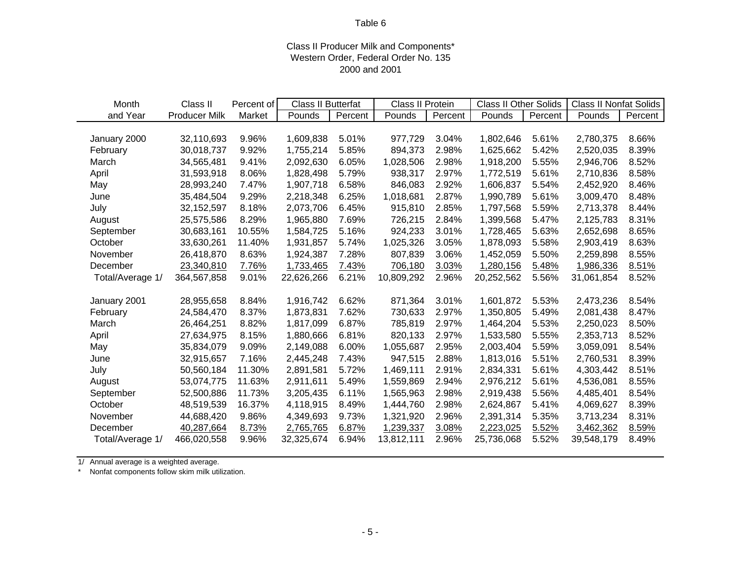## Class II Producer Milk and Components\* Western Order, Federal Order No. 135 2000 and 2001

| Month            | Class II             | Percent of | Class II Butterfat |         | Class II Protein |         | <b>Class II Other Solids</b> |         | <b>Class II Nonfat Solids</b> |         |
|------------------|----------------------|------------|--------------------|---------|------------------|---------|------------------------------|---------|-------------------------------|---------|
| and Year         | <b>Producer Milk</b> | Market     | Pounds             | Percent | Pounds           | Percent | Pounds                       | Percent | Pounds                        | Percent |
|                  |                      |            |                    |         |                  |         |                              |         |                               |         |
| January 2000     | 32,110,693           | 9.96%      | 1,609,838          | 5.01%   | 977,729          | 3.04%   | 1,802,646                    | 5.61%   | 2,780,375                     | 8.66%   |
| February         | 30,018,737           | 9.92%      | 1,755,214          | 5.85%   | 894,373          | 2.98%   | 1,625,662                    | 5.42%   | 2,520,035                     | 8.39%   |
| March            | 34,565,481           | 9.41%      | 2,092,630          | 6.05%   | 1,028,506        | 2.98%   | 1,918,200                    | 5.55%   | 2,946,706                     | 8.52%   |
| April            | 31,593,918           | 8.06%      | 1,828,498          | 5.79%   | 938,317          | 2.97%   | 1,772,519                    | 5.61%   | 2,710,836                     | 8.58%   |
| May              | 28,993,240           | 7.47%      | 1,907,718          | 6.58%   | 846,083          | 2.92%   | 1,606,837                    | 5.54%   | 2,452,920                     | 8.46%   |
| June             | 35,484,504           | 9.29%      | 2,218,348          | 6.25%   | 1,018,681        | 2.87%   | 1,990,789                    | 5.61%   | 3,009,470                     | 8.48%   |
| July             | 32, 152, 597         | 8.18%      | 2,073,706          | 6.45%   | 915,810          | 2.85%   | 1,797,568                    | 5.59%   | 2,713,378                     | 8.44%   |
| August           | 25,575,586           | 8.29%      | 1,965,880          | 7.69%   | 726,215          | 2.84%   | 1,399,568                    | 5.47%   | 2,125,783                     | 8.31%   |
| September        | 30,683,161           | 10.55%     | 1,584,725          | 5.16%   | 924,233          | 3.01%   | 1,728,465                    | 5.63%   | 2,652,698                     | 8.65%   |
| October          | 33,630,261           | 11.40%     | 1,931,857          | 5.74%   | 1,025,326        | 3.05%   | 1,878,093                    | 5.58%   | 2,903,419                     | 8.63%   |
| November         | 26,418,870           | 8.63%      | 1,924,387          | 7.28%   | 807,839          | 3.06%   | 1,452,059                    | 5.50%   | 2,259,898                     | 8.55%   |
| December         | 23,340,810           | 7.76%      | 1,733,465          | 7.43%   | 706,180          | 3.03%   | 1,280,156                    | 5.48%   | 1,986,336                     | 8.51%   |
| Total/Average 1/ | 364,567,858          | 9.01%      | 22,626,266         | 6.21%   | 10,809,292       | 2.96%   | 20,252,562                   | 5.56%   | 31,061,854                    | 8.52%   |
|                  |                      |            |                    |         |                  |         |                              |         |                               |         |
| January 2001     | 28,955,658           | 8.84%      | 1,916,742          | 6.62%   | 871,364          | 3.01%   | 1,601,872                    | 5.53%   | 2,473,236                     | 8.54%   |
| February         | 24,584,470           | 8.37%      | 1,873,831          | 7.62%   | 730,633          | 2.97%   | 1,350,805                    | 5.49%   | 2.081.438                     | 8.47%   |
| March            | 26,464,251           | 8.82%      | 1,817,099          | 6.87%   | 785,819          | 2.97%   | 1,464,204                    | 5.53%   | 2,250,023                     | 8.50%   |
| April            | 27,634,975           | 8.15%      | 1,880,666          | 6.81%   | 820,133          | 2.97%   | 1,533,580                    | 5.55%   | 2,353,713                     | 8.52%   |
| May              | 35,834,079           | 9.09%      | 2,149,088          | 6.00%   | 1,055,687        | 2.95%   | 2,003,404                    | 5.59%   | 3,059,091                     | 8.54%   |
| June             | 32,915,657           | 7.16%      | 2,445,248          | 7.43%   | 947,515          | 2.88%   | 1,813,016                    | 5.51%   | 2,760,531                     | 8.39%   |
| July             | 50,560,184           | 11.30%     | 2,891,581          | 5.72%   | 1,469,111        | 2.91%   | 2,834,331                    | 5.61%   | 4,303,442                     | 8.51%   |
| August           | 53,074,775           | 11.63%     | 2,911,611          | 5.49%   | 1,559,869        | 2.94%   | 2,976,212                    | 5.61%   | 4,536,081                     | 8.55%   |
| September        | 52,500,886           | 11.73%     | 3,205,435          | 6.11%   | 1,565,963        | 2.98%   | 2,919,438                    | 5.56%   | 4,485,401                     | 8.54%   |
| October          | 48,519,539           | 16.37%     | 4,118,915          | 8.49%   | 1,444,760        | 2.98%   | 2,624,867                    | 5.41%   | 4,069,627                     | 8.39%   |
| November         | 44,688,420           | 9.86%      | 4,349,693          | 9.73%   | 1,321,920        | 2.96%   | 2,391,314                    | 5.35%   | 3,713,234                     | 8.31%   |
| December         | 40,287,664           | 8.73%      | 2,765,765          | 6.87%   | 1,239,337        | 3.08%   | 2,223,025                    | 5.52%   | 3,462,362                     | 8.59%   |
| Total/Average 1/ | 466,020,558          | 9.96%      | 32,325,674         | 6.94%   | 13,812,111       | 2.96%   | 25,736,068                   | 5.52%   | 39,548,179                    | 8.49%   |

1/ Annual average is a weighted average.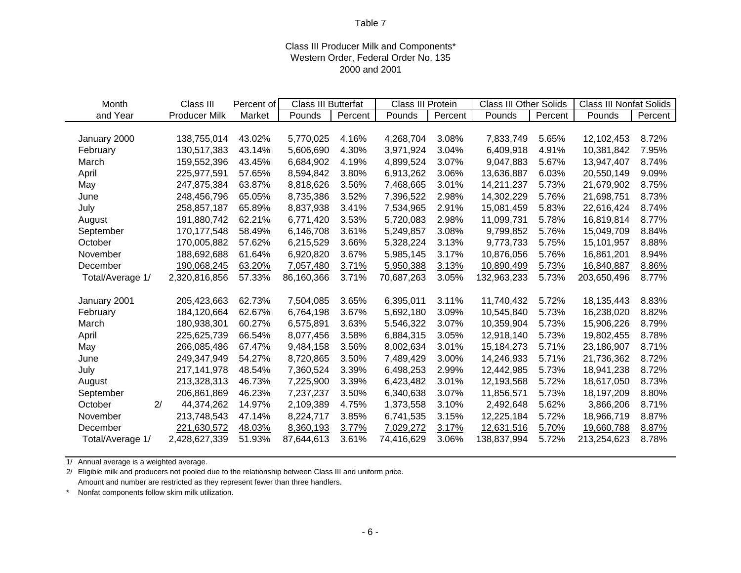## Class III Producer Milk and Components\* Western Order, Federal Order No. 135 2000 and 2001

| Month            | Class III            | Percent of | Class III Butterfat |         | Class III Protein |         | <b>Class III Other Solids</b> |         | <b>Class III Nonfat Solids</b> |         |
|------------------|----------------------|------------|---------------------|---------|-------------------|---------|-------------------------------|---------|--------------------------------|---------|
| and Year         | <b>Producer Milk</b> | Market     | Pounds              | Percent | Pounds            | Percent | Pounds                        | Percent | Pounds                         | Percent |
|                  |                      |            |                     |         |                   |         |                               |         |                                |         |
| January 2000     | 138,755,014          | 43.02%     | 5,770,025           | 4.16%   | 4,268,704         | 3.08%   | 7,833,749                     | 5.65%   | 12,102,453                     | 8.72%   |
| February         | 130,517,383          | 43.14%     | 5,606,690           | 4.30%   | 3,971,924         | 3.04%   | 6,409,918                     | 4.91%   | 10,381,842                     | 7.95%   |
| March            | 159,552,396          | 43.45%     | 6,684,902           | 4.19%   | 4,899,524         | 3.07%   | 9,047,883                     | 5.67%   | 13,947,407                     | 8.74%   |
| April            | 225,977,591          | 57.65%     | 8,594,842           | 3.80%   | 6,913,262         | 3.06%   | 13,636,887                    | 6.03%   | 20,550,149                     | 9.09%   |
| May              | 247,875,384          | 63.87%     | 8,818,626           | 3.56%   | 7,468,665         | 3.01%   | 14,211,237                    | 5.73%   | 21,679,902                     | 8.75%   |
| June             | 248,456,796          | 65.05%     | 8,735,386           | 3.52%   | 7,396,522         | 2.98%   | 14,302,229                    | 5.76%   | 21,698,751                     | 8.73%   |
| July             | 258,857,187          | 65.89%     | 8,837,938           | 3.41%   | 7,534,965         | 2.91%   | 15,081,459                    | 5.83%   | 22,616,424                     | 8.74%   |
| August           | 191,880,742          | 62.21%     | 6,771,420           | 3.53%   | 5,720,083         | 2.98%   | 11,099,731                    | 5.78%   | 16,819,814                     | 8.77%   |
| September        | 170,177,548          | 58.49%     | 6,146,708           | 3.61%   | 5,249,857         | 3.08%   | 9,799,852                     | 5.76%   | 15,049,709                     | 8.84%   |
| October          | 170,005,882          | 57.62%     | 6,215,529           | 3.66%   | 5,328,224         | 3.13%   | 9,773,733                     | 5.75%   | 15,101,957                     | 8.88%   |
| November         | 188,692,688          | 61.64%     | 6,920,820           | 3.67%   | 5,985,145         | 3.17%   | 10,876,056                    | 5.76%   | 16,861,201                     | 8.94%   |
| December         | 190,068,245          | 63.20%     | 7,057,480           | 3.71%   | 5,950,388         | 3.13%   | 10,890,499                    | 5.73%   | 16,840,887                     | 8.86%   |
| Total/Average 1/ | 2,320,816,856        | 57.33%     | 86,160,366          | 3.71%   | 70,687,263        | 3.05%   | 132,963,233                   | 5.73%   | 203,650,496                    | 8.77%   |
|                  |                      |            |                     |         |                   |         |                               |         |                                |         |
| January 2001     | 205,423,663          | 62.73%     | 7,504,085           | 3.65%   | 6,395,011         | 3.11%   | 11,740,432                    | 5.72%   | 18,135,443                     | 8.83%   |
| February         | 184,120,664          | 62.67%     | 6,764,198           | 3.67%   | 5,692,180         | 3.09%   | 10,545,840                    | 5.73%   | 16,238,020                     | 8.82%   |
| March            | 180,938,301          | 60.27%     | 6,575,891           | 3.63%   | 5,546,322         | 3.07%   | 10,359,904                    | 5.73%   | 15,906,226                     | 8.79%   |
| April            | 225,625,739          | 66.54%     | 8,077,456           | 3.58%   | 6,884,315         | 3.05%   | 12,918,140                    | 5.73%   | 19,802,455                     | 8.78%   |
| May              | 266,085,486          | 67.47%     | 9,484,158           | 3.56%   | 8,002,634         | 3.01%   | 15,184,273                    | 5.71%   | 23,186,907                     | 8.71%   |
| June             | 249,347,949          | 54.27%     | 8,720,865           | 3.50%   | 7,489,429         | 3.00%   | 14,246,933                    | 5.71%   | 21,736,362                     | 8.72%   |
| July             | 217,141,978          | 48.54%     | 7,360,524           | 3.39%   | 6,498,253         | 2.99%   | 12,442,985                    | 5.73%   | 18,941,238                     | 8.72%   |
| August           | 213,328,313          | 46.73%     | 7,225,900           | 3.39%   | 6,423,482         | 3.01%   | 12,193,568                    | 5.72%   | 18,617,050                     | 8.73%   |
| September        | 206,861,869          | 46.23%     | 7,237,237           | 3.50%   | 6,340,638         | 3.07%   | 11,856,571                    | 5.73%   | 18,197,209                     | 8.80%   |
| 2/<br>October    | 44,374,262           | 14.97%     | 2,109,389           | 4.75%   | 1,373,558         | 3.10%   | 2,492,648                     | 5.62%   | 3,866,206                      | 8.71%   |
| November         | 213,748,543          | 47.14%     | 8,224,717           | 3.85%   | 6,741,535         | 3.15%   | 12,225,184                    | 5.72%   | 18,966,719                     | 8.87%   |
| December         | 221,630,572          | 48.03%     | 8,360,193           | 3.77%   | 7,029,272         | 3.17%   | 12,631,516                    | 5.70%   | 19,660,788                     | 8.87%   |
| Total/Average 1/ | 2,428,627,339        | 51.93%     | 87,644,613          | 3.61%   | 74,416,629        | 3.06%   | 138,837,994                   | 5.72%   | 213,254,623                    | 8.78%   |

1/ Annual average is a weighted average.

2/ Eligible milk and producers not pooled due to the relationship between Class III and uniform price. Amount and number are restricted as they represent fewer than three handlers.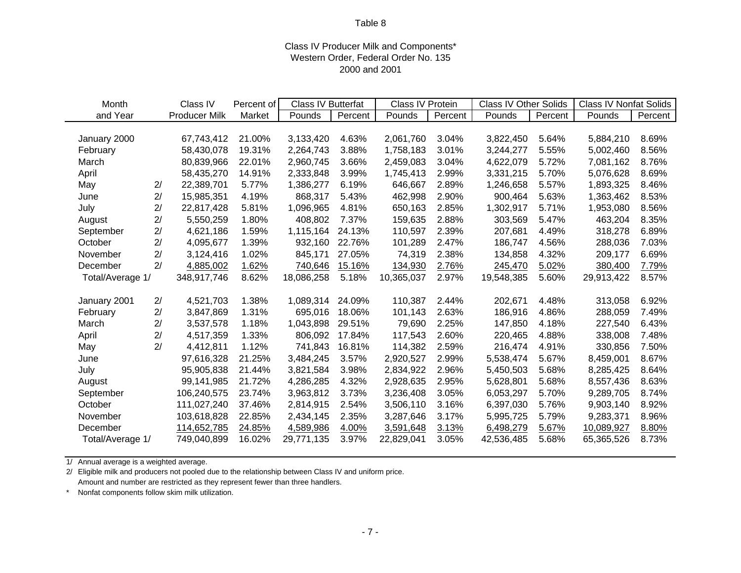## Class IV Producer Milk and Components\* Western Order, Federal Order No. 135 2000 and 2001

| Month            |    | Class IV             | Percent of | Class IV Butterfat |         | Class IV Protein |         | <b>Class IV Other Solids</b> |         | <b>Class IV Nonfat Solids</b> |         |
|------------------|----|----------------------|------------|--------------------|---------|------------------|---------|------------------------------|---------|-------------------------------|---------|
| and Year         |    | <b>Producer Milk</b> | Market     | Pounds             | Percent | Pounds           | Percent | Pounds                       | Percent | Pounds                        | Percent |
|                  |    |                      |            |                    |         |                  |         |                              |         |                               |         |
| January 2000     |    | 67,743,412           | 21.00%     | 3,133,420          | 4.63%   | 2,061,760        | 3.04%   | 3,822,450                    | 5.64%   | 5,884,210                     | 8.69%   |
| February         |    | 58,430,078           | 19.31%     | 2,264,743          | 3.88%   | 1,758,183        | 3.01%   | 3,244,277                    | 5.55%   | 5,002,460                     | 8.56%   |
| March            |    | 80,839,966           | 22.01%     | 2,960,745          | 3.66%   | 2,459,083        | 3.04%   | 4,622,079                    | 5.72%   | 7,081,162                     | 8.76%   |
| April            |    | 58,435,270           | 14.91%     | 2,333,848          | 3.99%   | 1,745,413        | 2.99%   | 3,331,215                    | 5.70%   | 5,076,628                     | 8.69%   |
| May              | 2/ | 22,389,701           | 5.77%      | 1,386,277          | 6.19%   | 646,667          | 2.89%   | 1,246,658                    | 5.57%   | 1,893,325                     | 8.46%   |
| June             | 2/ | 15,985,351           | 4.19%      | 868,317            | 5.43%   | 462,998          | 2.90%   | 900,464                      | 5.63%   | 1,363,462                     | 8.53%   |
| July             | 2/ | 22,817,428           | 5.81%      | 1,096,965          | 4.81%   | 650,163          | 2.85%   | 1,302,917                    | 5.71%   | 1,953,080                     | 8.56%   |
| August           | 2/ | 5,550,259            | 1.80%      | 408,802            | 7.37%   | 159,635          | 2.88%   | 303,569                      | 5.47%   | 463,204                       | 8.35%   |
| September        | 2/ | 4,621,186            | 1.59%      | 1,115,164          | 24.13%  | 110,597          | 2.39%   | 207,681                      | 4.49%   | 318,278                       | 6.89%   |
| October          | 2/ | 4,095,677            | 1.39%      | 932,160            | 22.76%  | 101,289          | 2.47%   | 186,747                      | 4.56%   | 288,036                       | 7.03%   |
| November         | 2/ | 3,124,416            | 1.02%      | 845,171            | 27.05%  | 74,319           | 2.38%   | 134,858                      | 4.32%   | 209,177                       | 6.69%   |
| December         | 2/ | 4,885,002            | 1.62%      | 740,646            | 15.16%  | 134,930          | 2.76%   | 245,470                      | 5.02%   | 380,400                       | 7.79%   |
| Total/Average 1/ |    | 348,917,746          | 8.62%      | 18,086,258         | 5.18%   | 10,365,037       | 2.97%   | 19,548,385                   | 5.60%   | 29,913,422                    | 8.57%   |
|                  |    |                      |            |                    |         |                  |         |                              |         |                               |         |
| January 2001     | 2/ | 4,521,703            | 1.38%      | 1,089,314          | 24.09%  | 110,387          | 2.44%   | 202,671                      | 4.48%   | 313,058                       | 6.92%   |
| February         | 2/ | 3,847,869            | 1.31%      | 695,016            | 18.06%  | 101,143          | 2.63%   | 186,916                      | 4.86%   | 288,059                       | 7.49%   |
| March            | 2/ | 3,537,578            | 1.18%      | 1,043,898          | 29.51%  | 79,690           | 2.25%   | 147,850                      | 4.18%   | 227,540                       | 6.43%   |
| April            | 2/ | 4,517,359            | 1.33%      | 806,092            | 17.84%  | 117,543          | 2.60%   | 220,465                      | 4.88%   | 338,008                       | 7.48%   |
| May              | 2/ | 4,412,811            | 1.12%      | 741,843            | 16.81%  | 114,382          | 2.59%   | 216,474                      | 4.91%   | 330,856                       | 7.50%   |
| June             |    | 97,616,328           | 21.25%     | 3,484,245          | 3.57%   | 2,920,527        | 2.99%   | 5,538,474                    | 5.67%   | 8,459,001                     | 8.67%   |
| July             |    | 95,905,838           | 21.44%     | 3,821,584          | 3.98%   | 2,834,922        | 2.96%   | 5,450,503                    | 5.68%   | 8,285,425                     | 8.64%   |
| August           |    | 99,141,985           | 21.72%     | 4,286,285          | 4.32%   | 2,928,635        | 2.95%   | 5,628,801                    | 5.68%   | 8,557,436                     | 8.63%   |
| September        |    | 106,240,575          | 23.74%     | 3,963,812          | 3.73%   | 3,236,408        | 3.05%   | 6,053,297                    | 5.70%   | 9,289,705                     | 8.74%   |
| October          |    | 111,027,240          | 37.46%     | 2,814,915          | 2.54%   | 3,506,110        | 3.16%   | 6,397,030                    | 5.76%   | 9,903,140                     | 8.92%   |
| November         |    | 103,618,828          | 22.85%     | 2,434,145          | 2.35%   | 3,287,646        | 3.17%   | 5,995,725                    | 5.79%   | 9,283,371                     | 8.96%   |
| December         |    | 114,652,785          | 24.85%     | 4,589,986          | 4.00%   | 3,591,648        | 3.13%   | 6,498,279                    | 5.67%   | 10,089,927                    | 8.80%   |
| Total/Average 1/ |    | 749,040,899          | 16.02%     | 29,771,135         | 3.97%   | 22,829,041       | 3.05%   | 42,536,485                   | 5.68%   | 65,365,526                    | 8.73%   |

1/ Annual average is a weighted average.

2/ Eligible milk and producers not pooled due to the relationship between Class IV and uniform price. Amount and number are restricted as they represent fewer than three handlers.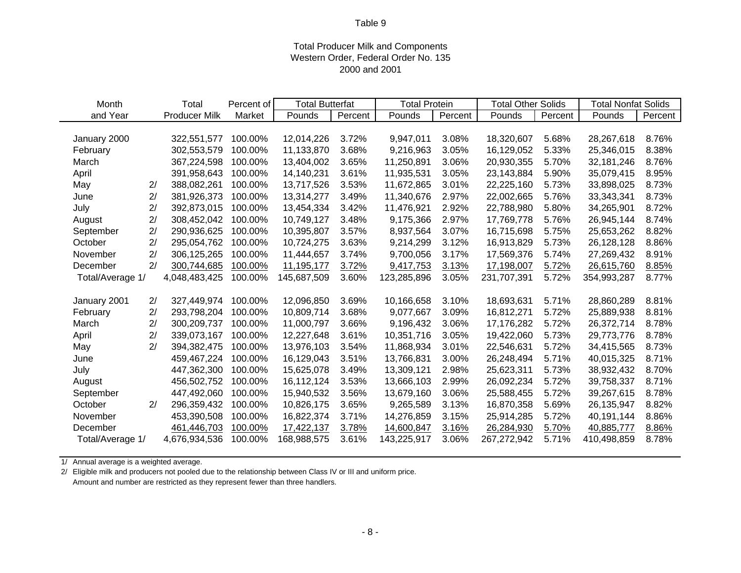## Total Producer Milk and Components Western Order, Federal Order No. 135 2000 and 2001

| Month            |                | Total                | Percent of | <b>Total Butterfat</b> |         | <b>Total Protein</b> |         | <b>Total Other Solids</b> |         | <b>Total Nonfat Solids</b> |         |
|------------------|----------------|----------------------|------------|------------------------|---------|----------------------|---------|---------------------------|---------|----------------------------|---------|
| and Year         |                | <b>Producer Milk</b> | Market     | Pounds                 | Percent | Pounds               | Percent | Pounds                    | Percent | Pounds                     | Percent |
|                  |                |                      |            |                        |         |                      |         |                           |         |                            |         |
| January 2000     |                | 322,551,577          | 100.00%    | 12,014,226             | 3.72%   | 9,947,011            | 3.08%   | 18,320,607                | 5.68%   | 28,267,618                 | 8.76%   |
| February         |                | 302,553,579          | 100.00%    | 11,133,870             | 3.68%   | 9,216,963            | 3.05%   | 16,129,052                | 5.33%   | 25,346,015                 | 8.38%   |
| March            |                | 367,224,598          | 100.00%    | 13,404,002             | 3.65%   | 11,250,891           | 3.06%   | 20,930,355                | 5.70%   | 32,181,246                 | 8.76%   |
| April            |                | 391,958,643          | 100.00%    | 14,140,231             | 3.61%   | 11,935,531           | 3.05%   | 23,143,884                | 5.90%   | 35,079,415                 | 8.95%   |
| May              | 2/             | 388,082,261          | 100.00%    | 13,717,526             | 3.53%   | 11,672,865           | 3.01%   | 22,225,160                | 5.73%   | 33,898,025                 | 8.73%   |
| June             | 2/             | 381,926,373          | 100.00%    | 13,314,277             | 3.49%   | 11,340,676           | 2.97%   | 22,002,665                | 5.76%   | 33,343,341                 | 8.73%   |
| July             | $\overline{2}$ | 392,873,015          | 100.00%    | 13,454,334             | 3.42%   | 11,476,921           | 2.92%   | 22,788,980                | 5.80%   | 34,265,901                 | 8.72%   |
| August           | 2/             | 308,452,042          | 100.00%    | 10,749,127             | 3.48%   | 9,175,366            | 2.97%   | 17,769,778                | 5.76%   | 26,945,144                 | 8.74%   |
| September        | 2/             | 290,936,625          | 100.00%    | 10,395,807             | 3.57%   | 8,937,564            | 3.07%   | 16,715,698                | 5.75%   | 25,653,262                 | 8.82%   |
| October          | 2/             | 295,054,762          | 100.00%    | 10,724,275             | 3.63%   | 9,214,299            | 3.12%   | 16,913,829                | 5.73%   | 26,128,128                 | 8.86%   |
| November         | 2/             | 306,125,265          | 100.00%    | 11,444,657             | 3.74%   | 9,700,056            | 3.17%   | 17,569,376                | 5.74%   | 27,269,432                 | 8.91%   |
| December         | 2/             | 300,744,685          | 100.00%    | 11,195,177             | 3.72%   | 9,417,753            | 3.13%   | 17,198,007                | 5.72%   | 26,615,760                 | 8.85%   |
| Total/Average 1/ |                | 4,048,483,425        | 100.00%    | 145,687,509            | 3.60%   | 123,285,896          | 3.05%   | 231,707,391               | 5.72%   | 354,993,287                | 8.77%   |
|                  |                |                      |            |                        |         |                      |         |                           |         |                            |         |
| January 2001     | 2/             | 327,449,974          | 100.00%    | 12,096,850             | 3.69%   | 10,166,658           | 3.10%   | 18,693,631                | 5.71%   | 28,860,289                 | 8.81%   |
| February         | 2/             | 293,798,204          | 100.00%    | 10,809,714             | 3.68%   | 9,077,667            | 3.09%   | 16,812,271                | 5.72%   | 25,889,938                 | 8.81%   |
| March            | 2/             | 300,209,737          | 100.00%    | 11,000,797             | 3.66%   | 9,196,432            | 3.06%   | 17,176,282                | 5.72%   | 26,372,714                 | 8.78%   |
| April            | 2/             | 339,073,167          | 100.00%    | 12,227,648             | 3.61%   | 10,351,716           | 3.05%   | 19,422,060                | 5.73%   | 29,773,776                 | 8.78%   |
| May              | 2/             | 394,382,475          | 100.00%    | 13,976,103             | 3.54%   | 11,868,934           | 3.01%   | 22,546,631                | 5.72%   | 34,415,565                 | 8.73%   |
| June             |                | 459,467,224          | 100.00%    | 16,129,043             | 3.51%   | 13,766,831           | 3.00%   | 26,248,494                | 5.71%   | 40,015,325                 | 8.71%   |
| July             |                | 447,362,300          | 100.00%    | 15,625,078             | 3.49%   | 13,309,121           | 2.98%   | 25,623,311                | 5.73%   | 38,932,432                 | 8.70%   |
| August           |                | 456,502,752          | 100.00%    | 16,112,124             | 3.53%   | 13,666,103           | 2.99%   | 26,092,234                | 5.72%   | 39,758,337                 | 8.71%   |
| September        |                | 447,492,060          | 100.00%    | 15,940,532             | 3.56%   | 13,679,160           | 3.06%   | 25,588,455                | 5.72%   | 39,267,615                 | 8.78%   |
| October          | 2/             | 296,359,432          | 100.00%    | 10,826,175             | 3.65%   | 9,265,589            | 3.13%   | 16,870,358                | 5.69%   | 26,135,947                 | 8.82%   |
| November         |                | 453,390,508          | 100.00%    | 16,822,374             | 3.71%   | 14,276,859           | 3.15%   | 25,914,285                | 5.72%   | 40,191,144                 | 8.86%   |
| December         |                | 461,446,703          | 100.00%    | 17,422,137             | 3.78%   | 14,600,847           | 3.16%   | 26,284,930                | 5.70%   | 40,885,777                 | 8.86%   |
| Total/Average 1/ |                | 4,676,934,536        | 100.00%    | 168,988,575            | 3.61%   | 143,225,917          | 3.06%   | 267,272,942               | 5.71%   | 410,498,859                | 8.78%   |

1/ Annual average is a weighted average.

 $\sim$ 

2/ Eligible milk and producers not pooled due to the relationship between Class IV or III and uniform price. Amount and number are restricted as they represent fewer than three handlers.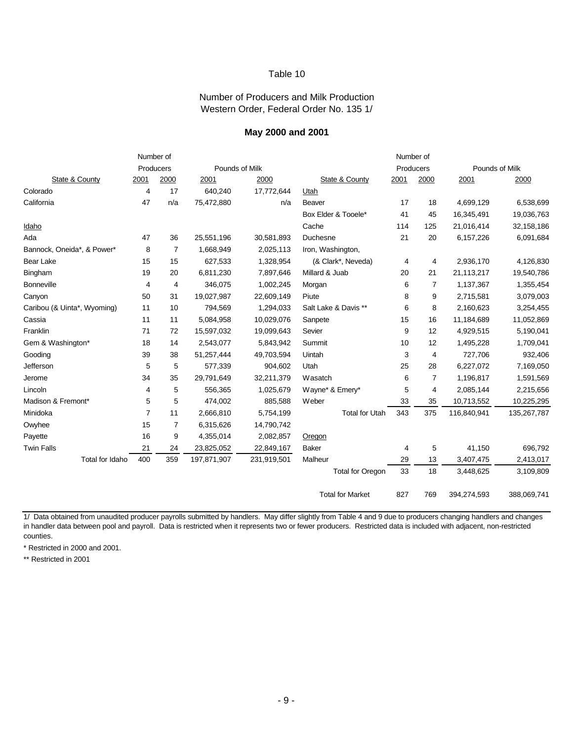#### Number of Producers and Milk Production Western Order, Federal Order No. 135 1/

#### **May 2000 and 2001**

|                             |                | Number of      |                |             |                         | Number of |                |                |             |
|-----------------------------|----------------|----------------|----------------|-------------|-------------------------|-----------|----------------|----------------|-------------|
|                             |                | Producers      | Pounds of Milk |             |                         |           | Producers      | Pounds of Milk |             |
| State & County              | 2001           | 2000           | 2001           | 2000        | State & County          | 2001      | 2000           | 2001           | 2000        |
| Colorado                    | 4              | 17             | 640,240        | 17,772,644  | Utah                    |           |                |                |             |
| California                  | 47             | n/a            | 75,472,880     | n/a         | <b>Beaver</b>           | 17        | 18             | 4,699,129      | 6,538,699   |
|                             |                |                |                |             | Box Elder & Tooele*     | 41        | 45             | 16,345,491     | 19,036,763  |
| Idaho                       |                |                |                |             | Cache                   | 114       | 125            | 21,016,414     | 32,158,186  |
| Ada                         | 47             | 36             | 25,551,196     | 30,581,893  | Duchesne                | 21        | 20             | 6,157,226      | 6,091,684   |
| Bannock, Oneida*, & Power*  | 8              | $\overline{7}$ | 1,668,949      | 2,025,113   | Iron, Washington,       |           |                |                |             |
| Bear Lake                   | 15             | 15             | 627,533        | 1,328,954   | (& Clark*, Neveda)      | 4         | 4              | 2,936,170      | 4,126,830   |
| Bingham                     | 19             | 20             | 6,811,230      | 7,897,646   | Millard & Juab          | 20        | 21             | 21,113,217     | 19,540,786  |
| <b>Bonneville</b>           | 4              | $\overline{4}$ | 346,075        | 1,002,245   | Morgan                  | 6         | $\overline{7}$ | 1,137,367      | 1,355,454   |
| Canyon                      | 50             | 31             | 19,027,987     | 22,609,149  | Piute                   | 8         | 9              | 2,715,581      | 3,079,003   |
| Caribou (& Uinta*, Wyoming) | 11             | 10             | 794,569        | 1,294,033   | Salt Lake & Davis **    | 6         | 8              | 2,160,623      | 3,254,455   |
| Cassia                      | 11             | 11             | 5,084,958      | 10,029,076  | Sanpete                 | 15        | 16             | 11,184,689     | 11,052,869  |
| Franklin                    | 71             | 72             | 15,597,032     | 19,099,643  | Sevier                  | 9         | 12             | 4,929,515      | 5,190,041   |
| Gem & Washington*           | 18             | 14             | 2,543,077      | 5,843,942   | Summit                  | 10        | 12             | 1,495,228      | 1,709,041   |
| Gooding                     | 39             | 38             | 51,257,444     | 49,703,594  | Uintah                  | 3         | 4              | 727,706        | 932,406     |
| Jefferson                   | 5              | 5              | 577,339        | 904,602     | Utah                    | 25        | 28             | 6,227,072      | 7,169,050   |
| Jerome                      | 34             | 35             | 29,791,649     | 32,211,379  | Wasatch                 | 6         | $\overline{7}$ | 1,196,817      | 1,591,569   |
| Lincoln                     | 4              | 5              | 556,365        | 1,025,679   | Wayne* & Emery*         | 5         | 4              | 2,085,144      | 2,215,656   |
| Madison & Fremont*          | 5              | 5              | 474,002        | 885,588     | Weber                   | 33        | 35             | 10,713,552     | 10,225,295  |
| Minidoka                    | $\overline{7}$ | 11             | 2,666,810      | 5,754,199   | <b>Total for Utah</b>   | 343       | 375            | 116,840,941    | 135,267,787 |
| Owyhee                      | 15             | $\overline{7}$ | 6,315,626      | 14,790,742  |                         |           |                |                |             |
| Payette                     | 16             | 9              | 4,355,014      | 2,082,857   | Oregon                  |           |                |                |             |
| <b>Twin Falls</b>           | 21             | 24             | 23,825,052     | 22,849,167  | <b>Baker</b>            | 4         | 5              | 41,150         | 696,792     |
| Total for Idaho             | 400            | 359            | 197,871,907    | 231,919,501 | Malheur                 | 29        | 13             | 3,407,475      | 2,413,017   |
|                             |                |                |                |             | <b>Total for Oregon</b> | 33        | 18             | 3,448,625      | 3,109,809   |
|                             |                |                |                |             | <b>Total for Market</b> | 827       | 769            | 394,274,593    | 388,069,741 |

1/ Data obtained from unaudited producer payrolls submitted by handlers. May differ slightly from Table 4 and 9 due to producers changing handlers and changes in handler data between pool and payroll. Data is restricted when it represents two or fewer producers. Restricted data is included with adjacent, non-restricted counties.

\* Restricted in 2000 and 2001.

\*\* Restricted in 2001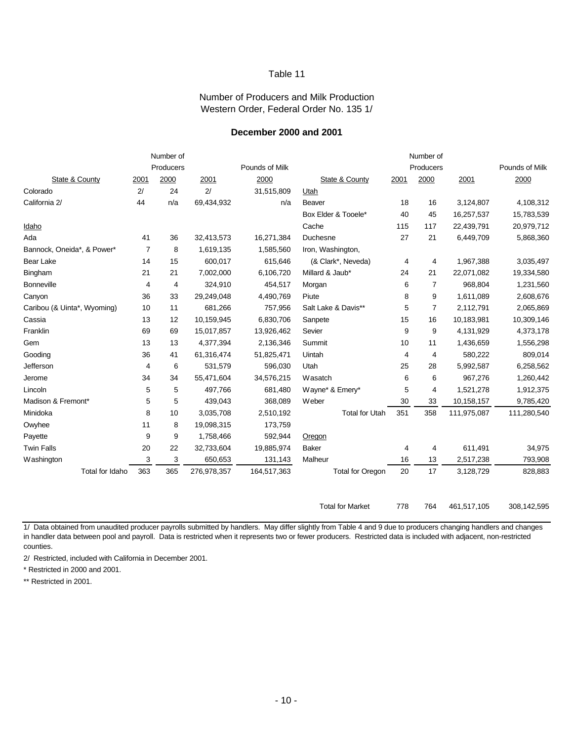#### Number of Producers and Milk Production Western Order, Federal Order No. 135 1/

#### **December 2000 and 2001**

|                             |                | Number of |             |                |                         |      | Number of      |             |                |
|-----------------------------|----------------|-----------|-------------|----------------|-------------------------|------|----------------|-------------|----------------|
|                             |                | Producers |             | Pounds of Milk |                         |      | Producers      |             | Pounds of Milk |
| State & County              | 2001           | 2000      | 2001        | 2000           | State & County          | 2001 | 2000           | 2001        | 2000           |
| Colorado                    | 2/             | 24        | 2/          | 31,515,809     | Utah                    |      |                |             |                |
| California 2/               | 44             | n/a       | 69,434,932  | n/a            | <b>Beaver</b>           | 18   | 16             | 3,124,807   | 4,108,312      |
|                             |                |           |             |                | Box Elder & Tooele*     | 40   | 45             | 16,257,537  | 15,783,539     |
| Idaho                       |                |           |             |                | Cache                   | 115  | 117            | 22,439,791  | 20,979,712     |
| Ada                         | 41             | 36        | 32,413,573  | 16,271,384     | Duchesne                | 27   | 21             | 6,449,709   | 5,868,360      |
| Bannock, Oneida*, & Power*  | $\overline{7}$ | 8         | 1,619,135   | 1,585,560      | Iron, Washington,       |      |                |             |                |
| Bear Lake                   | 14             | 15        | 600,017     | 615,646        | (& Clark*, Neveda)      | 4    | 4              | 1,967,388   | 3,035,497      |
| Bingham                     | 21             | 21        | 7,002,000   | 6,106,720      | Millard & Jaub*         | 24   | 21             | 22,071,082  | 19,334,580     |
| <b>Bonneville</b>           | 4              | 4         | 324,910     | 454,517        | Morgan                  | 6    | $\overline{7}$ | 968,804     | 1,231,560      |
| Canyon                      | 36             | 33        | 29,249,048  | 4,490,769      | Piute                   | 8    | 9              | 1,611,089   | 2,608,676      |
| Caribou (& Uinta*, Wyoming) | 10             | 11        | 681,266     | 757,956        | Salt Lake & Davis**     | 5    | $\overline{7}$ | 2,112,791   | 2,065,869      |
| Cassia                      | 13             | 12        | 10,159,945  | 6,830,706      | Sanpete                 | 15   | 16             | 10,183,981  | 10,309,146     |
| Franklin                    | 69             | 69        | 15,017,857  | 13,926,462     | Sevier                  | 9    | 9              | 4,131,929   | 4,373,178      |
| Gem                         | 13             | 13        | 4,377,394   | 2,136,346      | Summit                  | 10   | 11             | 1,436,659   | 1,556,298      |
| Gooding                     | 36             | 41        | 61,316,474  | 51,825,471     | Uintah                  | 4    | 4              | 580,222     | 809,014        |
| Jefferson                   | 4              | 6         | 531,579     | 596,030        | Utah                    | 25   | 28             | 5,992,587   | 6,258,562      |
| Jerome                      | 34             | 34        | 55,471,604  | 34,576,215     | Wasatch                 | 6    | 6              | 967,276     | 1,260,442      |
| Lincoln                     | 5              | 5         | 497,766     | 681,480        | Wayne* & Emery*         | 5    | 4              | 1,521,278   | 1,912,375      |
| Madison & Fremont*          | 5              | 5         | 439,043     | 368,089        | Weber                   | 30   | 33             | 10,158,157  | 9,785,420      |
| Minidoka                    | 8              | 10        | 3,035,708   | 2,510,192      | <b>Total for Utah</b>   | 351  | 358            | 111,975,087 | 111,280,540    |
| Owyhee                      | 11             | 8         | 19,098,315  | 173,759        |                         |      |                |             |                |
| Payette                     | 9              | 9         | 1,758,466   | 592,944        | Oregon                  |      |                |             |                |
| <b>Twin Falls</b>           | 20             | 22        | 32,733,604  | 19,885,974     | Baker                   | 4    | 4              | 611,491     | 34,975         |
| Washington                  | 3              | 3         | 650,653     | 131,143        | Malheur                 | 16   | 13             | 2,517,238   | 793,908        |
| Total for Idaho             | 363            | 365       | 276,978,357 | 164,517,363    | <b>Total for Oregon</b> | 20   | 17             | 3,128,729   | 828,883        |
|                             |                |           |             |                | <b>Total for Market</b> | 778  | 764            | 461.517.105 | 308.142.595    |

1/ Data obtained from unaudited producer payrolls submitted by handlers. May differ slightly from Table 4 and 9 due to producers changing handlers and changes in handler data between pool and payroll. Data is restricted when it represents two or fewer producers. Restricted data is included with adjacent, non-restricted counties.

2/ Restricted, included with California in December 2001.

\* Restricted in 2000 and 2001.

\*\* Restricted in 2001.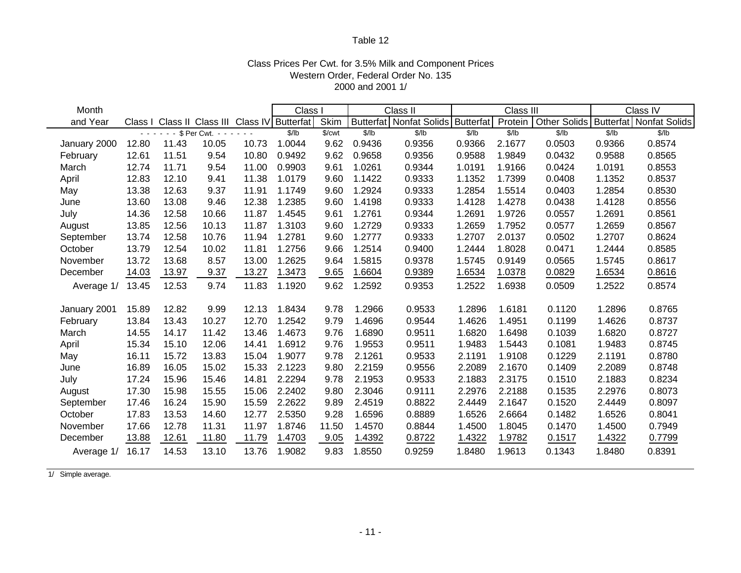## Class Prices Per Cwt. for 3.5% Milk and Component Prices Western Order, Federal Order No. 135 2000 and 2001 1/

| Month        |                  |       |                 | <b>Class</b>                          |        | Class II |        | Class III               |                  |         | Class IV            |        |                         |
|--------------|------------------|-------|-----------------|---------------------------------------|--------|----------|--------|-------------------------|------------------|---------|---------------------|--------|-------------------------|
| and Year     | Class I          |       |                 | Class II Class III Class IV Butterfat |        | Skim     |        | Butterfat Nonfat Solids | <b>Butterfat</b> | Protein | <b>Other Solids</b> |        | Butterfat Nonfat Solids |
|              | $\sim$ 10 $\sim$ |       | \$ Per Cwt. - - |                                       | \$/lb  | \$/cwt   | \$/lb  | \$/lb                   | \$/lb            | \$/lb   | \$/lb               | \$/lb  | \$/lb                   |
| January 2000 | 12.80            | 11.43 | 10.05           | 10.73                                 | 1.0044 | 9.62     | 0.9436 | 0.9356                  | 0.9366           | 2.1677  | 0.0503              | 0.9366 | 0.8574                  |
| February     | 12.61            | 11.51 | 9.54            | 10.80                                 | 0.9492 | 9.62     | 0.9658 | 0.9356                  | 0.9588           | 1.9849  | 0.0432              | 0.9588 | 0.8565                  |
| March        | 12.74            | 11.71 | 9.54            | 11.00                                 | 0.9903 | 9.61     | 1.0261 | 0.9344                  | 1.0191           | 1.9166  | 0.0424              | 1.0191 | 0.8553                  |
| April        | 12.83            | 12.10 | 9.41            | 11.38                                 | 1.0179 | 9.60     | 1.1422 | 0.9333                  | 1.1352           | 1.7399  | 0.0408              | 1.1352 | 0.8537                  |
| May          | 13.38            | 12.63 | 9.37            | 11.91                                 | 1.1749 | 9.60     | 1.2924 | 0.9333                  | 1.2854           | 1.5514  | 0.0403              | 1.2854 | 0.8530                  |
| June         | 13.60            | 13.08 | 9.46            | 12.38                                 | 1.2385 | 9.60     | 1.4198 | 0.9333                  | 1.4128           | 1.4278  | 0.0438              | 1.4128 | 0.8556                  |
| July         | 14.36            | 12.58 | 10.66           | 11.87                                 | 1.4545 | 9.61     | 1.2761 | 0.9344                  | 1.2691           | 1.9726  | 0.0557              | 1.2691 | 0.8561                  |
| August       | 13.85            | 12.56 | 10.13           | 11.87                                 | 1.3103 | 9.60     | 1.2729 | 0.9333                  | 1.2659           | 1.7952  | 0.0577              | 1.2659 | 0.8567                  |
| September    | 13.74            | 12.58 | 10.76           | 11.94                                 | 1.2781 | 9.60     | 1.2777 | 0.9333                  | 1.2707           | 2.0137  | 0.0502              | 1.2707 | 0.8624                  |
| October      | 13.79            | 12.54 | 10.02           | 11.81                                 | 1.2756 | 9.66     | 1.2514 | 0.9400                  | 1.2444           | 1.8028  | 0.0471              | 1.2444 | 0.8585                  |
| November     | 13.72            | 13.68 | 8.57            | 13.00                                 | 1.2625 | 9.64     | 1.5815 | 0.9378                  | 1.5745           | 0.9149  | 0.0565              | 1.5745 | 0.8617                  |
| December     | 14.03            | 13.97 | 9.37            | 13.27                                 | 1.3473 | 9.65     | 1.6604 | 0.9389                  | 1.6534           | 1.0378  | 0.0829              | 1.6534 | 0.8616                  |
| Average 1/   | 13.45            | 12.53 | 9.74            | 11.83                                 | 1.1920 | 9.62     | 1.2592 | 0.9353                  | 1.2522           | 1.6938  | 0.0509              | 1.2522 | 0.8574                  |
| January 2001 | 15.89            | 12.82 | 9.99            | 12.13                                 | 1.8434 | 9.78     | 1.2966 | 0.9533                  | 1.2896           | 1.6181  | 0.1120              | 1.2896 | 0.8765                  |
| February     | 13.84            | 13.43 | 10.27           | 12.70                                 | 1.2542 | 9.79     | 1.4696 | 0.9544                  | 1.4626           | 1.4951  | 0.1199              | 1.4626 | 0.8737                  |
| March        | 14.55            | 14.17 | 11.42           | 13.46                                 | 1.4673 | 9.76     | 1.6890 | 0.9511                  | 1.6820           | 1.6498  | 0.1039              | 1.6820 | 0.8727                  |
| April        | 15.34            | 15.10 | 12.06           | 14.41                                 | 1.6912 | 9.76     | 1.9553 | 0.9511                  | 1.9483           | 1.5443  | 0.1081              | 1.9483 | 0.8745                  |
| May          | 16.11            | 15.72 | 13.83           | 15.04                                 | 1.9077 | 9.78     | 2.1261 | 0.9533                  | 2.1191           | 1.9108  | 0.1229              | 2.1191 | 0.8780                  |
| June         | 16.89            | 16.05 | 15.02           | 15.33                                 | 2.1223 | 9.80     | 2.2159 | 0.9556                  | 2.2089           | 2.1670  | 0.1409              | 2.2089 | 0.8748                  |
| July         | 17.24            | 15.96 | 15.46           | 14.81                                 | 2.2294 | 9.78     | 2.1953 | 0.9533                  | 2.1883           | 2.3175  | 0.1510              | 2.1883 | 0.8234                  |
| August       | 17.30            | 15.98 | 15.55           | 15.06                                 | 2.2402 | 9.80     | 2.3046 | 0.9111                  | 2.2976           | 2.2188  | 0.1535              | 2.2976 | 0.8073                  |
| September    | 17.46            | 16.24 | 15.90           | 15.59                                 | 2.2622 | 9.89     | 2.4519 | 0.8822                  | 2.4449           | 2.1647  | 0.1520              | 2.4449 | 0.8097                  |
| October      | 17.83            | 13.53 | 14.60           | 12.77                                 | 2.5350 | 9.28     | 1.6596 | 0.8889                  | 1.6526           | 2.6664  | 0.1482              | 1.6526 | 0.8041                  |
| November     | 17.66            | 12.78 | 11.31           | 11.97                                 | 1.8746 | 11.50    | 1.4570 | 0.8844                  | 1.4500           | 1.8045  | 0.1470              | 1.4500 | 0.7949                  |
| December     | 13.88            | 12.61 | 11.80           | 11.79                                 | 1.4703 | 9.05     | 1.4392 | 0.8722                  | 1.4322           | 1.9782  | 0.1517              | 1.4322 | 0.7799                  |
| Average 1/   | 16.17            | 14.53 | 13.10           | 13.76                                 | 1.9082 | 9.83     | 1.8550 | 0.9259                  | 1.8480           | 1.9613  | 0.1343              | 1.8480 | 0.8391                  |

1/ Simple average.

e.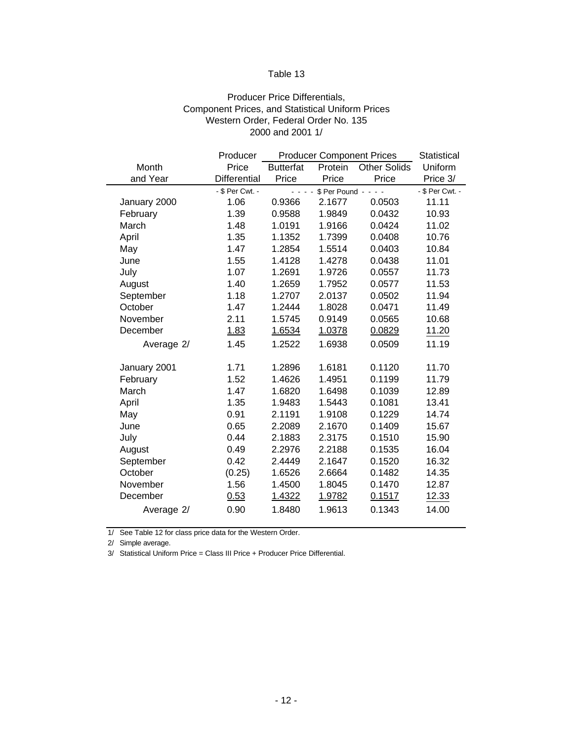#### Producer Price Differentials, Component Prices, and Statistical Uniform Prices Western Order, Federal Order No. 135 2000 and 2001 1/

| Producer        |                  | <b>Statistical</b> |                     |                                                                  |  |
|-----------------|------------------|--------------------|---------------------|------------------------------------------------------------------|--|
| Price           | <b>Butterfat</b> | Protein            | <b>Other Solids</b> | Uniform                                                          |  |
| Differential    | Price            | Price              | Price               | Price 3/                                                         |  |
| - \$ Per Cwt. - |                  |                    |                     | - \$ Per Cwt. -                                                  |  |
| 1.06            | 0.9366           | 2.1677             | 0.0503              | 11.11                                                            |  |
| 1.39            | 0.9588           | 1.9849             | 0.0432              | 10.93                                                            |  |
| 1.48            | 1.0191           | 1.9166             |                     |                                                                  |  |
| 1.35            | 1.1352           | 1.7399<br>0.0408   |                     | 10.76                                                            |  |
| 1.47            | 1.2854           | 0.0403<br>1.5514   |                     | 10.84                                                            |  |
| 1.55            | 1.4128           | 1.4278             | 0.0438              | 11.01                                                            |  |
| 1.07            | 1.2691           | 1.9726             | 0.0557              | 11.73                                                            |  |
| 1.40            | 1.2659           | 1.7952             | 0.0577              | 11.53                                                            |  |
| 1.18            | 1.2707           | 2.0137             | 0.0502              | 11.94                                                            |  |
| 1.47            | 1.2444           | 1.8028             | 0.0471              | 11.49                                                            |  |
| 2.11            | 1.5745           | 0.9149             | 0.0565              | 10.68                                                            |  |
| 1.83            | 1.6534           | 1.0378             | 0.0829              | 11.20                                                            |  |
| 1.45            | 1.2522           | 1.6938             | 0.0509              | 11.19                                                            |  |
| 1.71            | 1.2896           | 1.6181             | 0.1120              | 11.70                                                            |  |
| 1.52            | 1.4626           | 1.4951             | 0.1199              | 11.79                                                            |  |
| 1.47            | 1.6820           | 1.6498             | 0.1039              | 12.89                                                            |  |
| 1.35            | 1.9483           | 1.5443             | 0.1081              | 13.41                                                            |  |
| 0.91            | 2.1191           | 1.9108             | 0.1229              | 14.74                                                            |  |
| 0.65            | 2.2089           | 2.1670             | 0.1409              | 15.67                                                            |  |
| 0.44            | 2.1883           | 2.3175             | 0.1510              | 15.90                                                            |  |
| 0.49            | 2.2976           | 2.2188             | 0.1535              | 16.04                                                            |  |
| 0.42            | 2.4449           | 2.1647             | 0.1520              | 16.32                                                            |  |
| (0.25)          | 1.6526           | 2.6664             | 0.1482              | 14.35                                                            |  |
| 1.56            | 1.4500           | 1.8045             | 0.1470              | 12.87                                                            |  |
| 0.53            | 1.4322           | 1.9782             | 0.1517              | 12.33                                                            |  |
| 0.90            | 1.8480           | 1.9613             | 0.1343              | 14.00                                                            |  |
|                 |                  |                    | الدائدات            | <b>Producer Component Prices</b><br>$$Per Pound - - -$<br>0.0424 |  |

1/ See Table 12 for class price data for the Western Order.

2/ Simple average.

3/ Statistical Uniform Price = Class III Price + Producer Price Differential.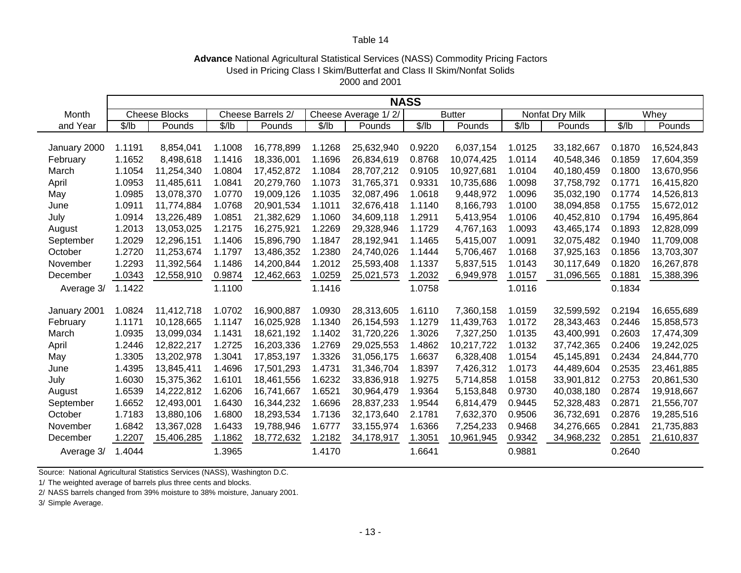#### **Advance** National Agricultural Statistical Services (NASS) Commodity Pricing Factors 2000 and 2001 Used in Pricing Class I Skim/Butterfat and Class II Skim/Nonfat Solids

|              | <b>NASS</b> |                      |        |                   |        |                     |               |            |                 |            |        |            |
|--------------|-------------|----------------------|--------|-------------------|--------|---------------------|---------------|------------|-----------------|------------|--------|------------|
| Month        |             | <b>Cheese Blocks</b> |        | Cheese Barrels 2/ |        | Cheese Average 1/2/ | <b>Butter</b> |            | Nonfat Dry Milk |            | Whey   |            |
| and Year     | \$/lb       | Pounds               | \$/lb  | Pounds            | \$/lb  | Pounds              | \$/lb         | Pounds     | \$/lb           | Pounds     | \$/lb  | Pounds     |
|              |             |                      |        |                   |        |                     |               |            |                 |            |        |            |
| January 2000 | 1.1191      | 8,854,041            | 1.1008 | 16,778,899        | 1.1268 | 25,632,940          | 0.9220        | 6,037,154  | 1.0125          | 33,182,667 | 0.1870 | 16,524,843 |
| February     | 1.1652      | 8,498,618            | 1.1416 | 18,336,001        | 1.1696 | 26,834,619          | 0.8768        | 10,074,425 | 1.0114          | 40,548,346 | 0.1859 | 17,604,359 |
| March        | 1.1054      | 11,254,340           | 1.0804 | 17,452,872        | 1.1084 | 28,707,212          | 0.9105        | 10,927,681 | 1.0104          | 40,180,459 | 0.1800 | 13,670,956 |
| April        | 1.0953      | 11,485,611           | 1.0841 | 20,279,760        | 1.1073 | 31,765,371          | 0.9331        | 10,735,686 | 1.0098          | 37,758,792 | 0.1771 | 16,415,820 |
| May          | 1.0985      | 13,078,370           | 1.0770 | 19,009,126        | 1.1035 | 32,087,496          | 1.0618        | 9,448,972  | 1.0096          | 35,032,190 | 0.1774 | 14,526,813 |
| June         | 1.0911      | 11,774,884           | 1.0768 | 20,901,534        | 1.1011 | 32,676,418          | 1.1140        | 8,166,793  | 1.0100          | 38,094,858 | 0.1755 | 15,672,012 |
| July         | 1.0914      | 13,226,489           | 1.0851 | 21,382,629        | 1.1060 | 34,609,118          | 1.2911        | 5,413,954  | 1.0106          | 40,452,810 | 0.1794 | 16,495,864 |
| August       | 1.2013      | 13,053,025           | 1.2175 | 16,275,921        | 1.2269 | 29,328,946          | 1.1729        | 4,767,163  | 1.0093          | 43,465,174 | 0.1893 | 12,828,099 |
| September    | 1.2029      | 12,296,151           | 1.1406 | 15,896,790        | 1.1847 | 28,192,941          | 1.1465        | 5,415,007  | 1.0091          | 32,075,482 | 0.1940 | 11,709,008 |
| October      | 1.2720      | 11,253,674           | 1.1797 | 13,486,352        | 1.2380 | 24,740,026          | 1.1444        | 5,706,467  | 1.0168          | 37,925,163 | 0.1856 | 13,703,307 |
| November     | 1.2293      | 11,392,564           | 1.1486 | 14,200,844        | 1.2012 | 25,593,408          | 1.1337        | 5,837,515  | 1.0143          | 30,117,649 | 0.1820 | 16,267,878 |
| December     | 1.0343      | 12,558,910           | 0.9874 | 12,462,663        | 1.0259 | 25,021,573          | 1.2032        | 6,949,978  | 1.0157          | 31,096,565 | 0.1881 | 15,388,396 |
| Average 3/   | 1.1422      |                      | 1.1100 |                   | 1.1416 |                     | 1.0758        |            | 1.0116          |            | 0.1834 |            |
|              |             |                      |        |                   |        |                     |               |            |                 |            |        |            |
| January 2001 | 1.0824      | 11,412,718           | 1.0702 | 16,900,887        | 1.0930 | 28,313,605          | 1.6110        | 7,360,158  | 1.0159          | 32,599,592 | 0.2194 | 16,655,689 |
| February     | 1.1171      | 10,128,665           | 1.1147 | 16,025,928        | 1.1340 | 26,154,593          | 1.1279        | 11,439,763 | 1.0172          | 28,343,463 | 0.2446 | 15,858,573 |
| March        | 1.0935      | 13,099,034           | 1.1431 | 18,621,192        | 1.1402 | 31,720,226          | 1.3026        | 7,327,250  | 1.0135          | 43,400,991 | 0.2603 | 17,474,309 |
| April        | 1.2446      | 12,822,217           | 1.2725 | 16,203,336        | 1.2769 | 29,025,553          | 1.4862        | 10,217,722 | 1.0132          | 37,742,365 | 0.2406 | 19,242,025 |
| May          | 1.3305      | 13,202,978           | 1.3041 | 17,853,197        | 1.3326 | 31,056,175          | 1.6637        | 6,328,408  | 1.0154          | 45,145,891 | 0.2434 | 24,844,770 |
| June         | 1.4395      | 13,845,411           | 1.4696 | 17,501,293        | 1.4731 | 31,346,704          | 1.8397        | 7,426,312  | 1.0173          | 44,489,604 | 0.2535 | 23,461,885 |
| July         | 1.6030      | 15,375,362           | 1.6101 | 18,461,556        | 1.6232 | 33,836,918          | 1.9275        | 5,714,858  | 1.0158          | 33,901,812 | 0.2753 | 20,861,530 |
| August       | 1.6539      | 14,222,812           | 1.6206 | 16,741,667        | 1.6521 | 30,964,479          | 1.9364        | 5,153,848  | 0.9730          | 40,038,180 | 0.2874 | 19,918,667 |
| September    | 1.6652      | 12,493,001           | 1.6430 | 16,344,232        | 1.6696 | 28,837,233          | 1.9544        | 6,814,479  | 0.9445          | 52,328,483 | 0.2871 | 21,556,707 |
| October      | 1.7183      | 13,880,106           | 1.6800 | 18,293,534        | 1.7136 | 32,173,640          | 2.1781        | 7,632,370  | 0.9506          | 36,732,691 | 0.2876 | 19,285,516 |
| November     | 1.6842      | 13,367,028           | 1.6433 | 19,788,946        | 1.6777 | 33,155,974          | 1.6366        | 7,254,233  | 0.9468          | 34,276,665 | 0.2841 | 21,735,883 |
| December     | 1.2207      | 15,406,285           | 1.1862 | 18,772,632        | 1.2182 | 34,178,917          | 1.3051        | 10,961,945 | 0.9342          | 34,968,232 | 0.2851 | 21,610,837 |
| Average 3/   | 1.4044      |                      | 1.3965 |                   | 1.4170 |                     | 1.6641        |            | 0.9881          |            | 0.2640 |            |

Source: National Agricultural Statistics Services (NASS), Washington D.C.

1/ The weighted average of barrels plus three cents and blocks.

2/ NASS barrels changed from 39% moisture to 38% moisture, January 2001.

3/ Simple Average.